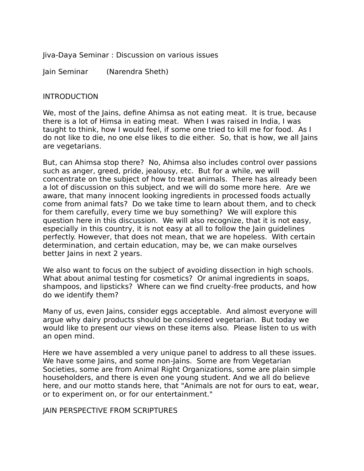Jiva-Daya Seminar : Discussion on various issues

Jain Seminar (Narendra Sheth)

#### INTRODUCTION

We, most of the Jains, define Ahimsa as not eating meat. It is true, because there is a lot of Himsa in eating meat. When I was raised in India, I was taught to think, how I would feel, if some one tried to kill me for food. As I do not like to die, no one else likes to die either. So, that is how, we all Jains are vegetarians.

But, can Ahimsa stop there? No, Ahimsa also includes control over passions such as anger, greed, pride, jealousy, etc. But for a while, we will concentrate on the subject of how to treat animals. There has already been a lot of discussion on this subject, and we will do some more here. Are we aware, that many innocent looking ingredients in processed foods actually come from animal fats? Do we take time to learn about them, and to check for them carefully, every time we buy something? We will explore this question here in this discussion. We will also recognize, that it is not easy, especially in this country, it is not easy at all to follow the Jain guidelines perfectly. However, that does not mean, that we are hopeless. With certain determination, and certain education, may be, we can make ourselves better Jains in next 2 years.

We also want to focus on the subject of avoiding dissection in high schools. What about animal testing for cosmetics? Or animal ingredients in soaps, shampoos, and lipsticks? Where can we find cruelty-free products, and how do we identify them?

Many of us, even Jains, consider eggs acceptable. And almost everyone will argue why dairy products should be considered vegetarian. But today we would like to present our views on these items also. Please listen to us with an open mind.

Here we have assembled a very unique panel to address to all these issues. We have some Jains, and some non-Jains. Some are from Vegetarian Societies, some are from Animal Right Organizations, some are plain simple householders, and there is even one young student. And we all do believe here, and our motto stands here, that "Animals are not for ours to eat, wear, or to experiment on, or for our entertainment."

JAIN PERSPECTIVE FROM SCRIPTURES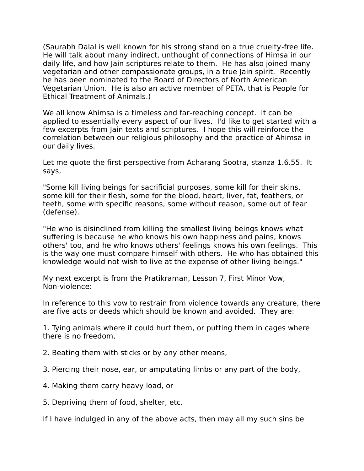(Saurabh Dalal is well known for his strong stand on a true cruelty-free life. He will talk about many indirect, unthought of connections of Himsa in our daily life, and how Jain scriptures relate to them. He has also joined many vegetarian and other compassionate groups, in a true Jain spirit. Recently he has been nominated to the Board of Directors of North American Vegetarian Union. He is also an active member of PETA, that is People for Ethical Treatment of Animals.)

We all know Ahimsa is a timeless and far-reaching concept. It can be applied to essentially every aspect of our lives. I'd like to get started with a few excerpts from Jain texts and scriptures. I hope this will reinforce the correlation between our religious philosophy and the practice of Ahimsa in our daily lives.

Let me quote the first perspective from Acharang Sootra, stanza 1.6.55. It says,

"Some kill living beings for sacrificial purposes, some kill for their skins, some kill for their flesh, some for the blood, heart, liver, fat, feathers, or teeth, some with specific reasons, some without reason, some out of fear (defense).

"He who is disinclined from killing the smallest living beings knows what suffering is because he who knows his own happiness and pains, knows others' too, and he who knows others' feelings knows his own feelings. This is the way one must compare himself with others. He who has obtained this knowledge would not wish to live at the expense of other living beings."

My next excerpt is from the Pratikraman, Lesson 7, First Minor Vow, Non-violence:

In reference to this vow to restrain from violence towards any creature, there are five acts or deeds which should be known and avoided. They are:

1. Tying animals where it could hurt them, or putting them in cages where there is no freedom,

- 2. Beating them with sticks or by any other means,
- 3. Piercing their nose, ear, or amputating limbs or any part of the body,
- 4. Making them carry heavy load, or
- 5. Depriving them of food, shelter, etc.

If I have indulged in any of the above acts, then may all my such sins be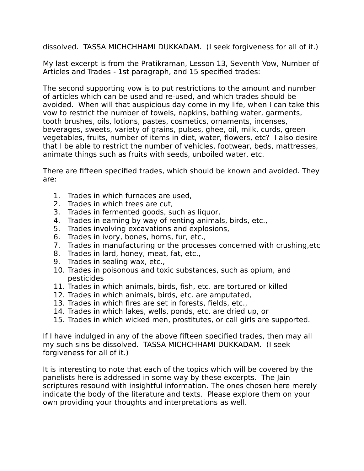dissolved. TASSA MICHCHHAMI DUKKADAM. (I seek forgiveness for all of it.)

My last excerpt is from the Pratikraman, Lesson 13, Seventh Vow, Number of Articles and Trades - 1st paragraph, and 15 specified trades:

The second supporting vow is to put restrictions to the amount and number of articles which can be used and re-used, and which trades should be avoided. When will that auspicious day come in my life, when I can take this vow to restrict the number of towels, napkins, bathing water, garments, tooth brushes, oils, lotions, pastes, cosmetics, ornaments, incenses, beverages, sweets, variety of grains, pulses, ghee, oil, milk, curds, green vegetables, fruits, number of items in diet, water, flowers, etc? I also desire that I be able to restrict the number of vehicles, footwear, beds, mattresses, animate things such as fruits with seeds, unboiled water, etc.

There are fifteen specified trades, which should be known and avoided. They are:

- 1. Trades in which furnaces are used,
- 2. Trades in which trees are cut,
- 3. Trades in fermented goods, such as liquor,
- 4. Trades in earning by way of renting animals, birds, etc.,
- 5. Trades involving excavations and explosions,
- 6. Trades in ivory, bones, horns, fur, etc.,
- 7. Trades in manufacturing or the processes concerned with crushing,etc
- 8. Trades in lard, honey, meat, fat, etc.,
- 9. Trades in sealing wax, etc.,
- 10. Trades in poisonous and toxic substances, such as opium, and pesticides
- 11. Trades in which animals, birds, fish, etc. are tortured or killed
- 12. Trades in which animals, birds, etc. are amputated,
- 13. Trades in which fires are set in forests, fields, etc.,
- 14. Trades in which lakes, wells, ponds, etc. are dried up, or
- 15. Trades in which wicked men, prostitutes, or call girls are supported.

If I have indulged in any of the above fifteen specified trades, then may all my such sins be dissolved. TASSA MICHCHHAMI DUKKADAM. (I seek forgiveness for all of it.)

It is interesting to note that each of the topics which will be covered by the panelists here is addressed in some way by these excerpts. The Jain scriptures resound with insightful information. The ones chosen here merely indicate the body of the literature and texts. Please explore them on your own providing your thoughts and interpretations as well.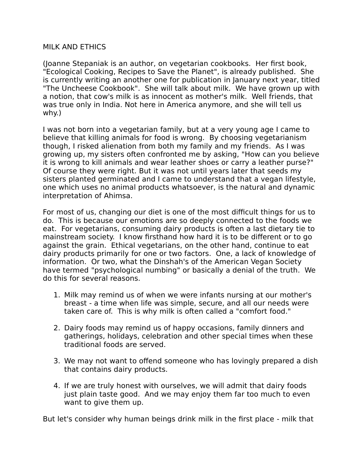### MILK AND ETHICS

(Joanne Stepaniak is an author, on vegetarian cookbooks. Her first book, "Ecological Cooking, Recipes to Save the Planet", is already published. She is currently writing an another one for publication in January next year, titled "The Uncheese Cookbook". She will talk about milk. We have grown up with a notion, that cow's milk is as innocent as mother's milk. Well friends, that was true only in India. Not here in America anymore, and she will tell us why.)

I was not born into a vegetarian family, but at a very young age I came to believe that killing animals for food is wrong. By choosing vegetarianism though, I risked alienation from both my family and my friends. As I was growing up, my sisters often confronted me by asking, "How can you believe it is wrong to kill animals and wear leather shoes or carry a leather purse?" Of course they were right. But it was not until years later that seeds my sisters planted germinated and I came to understand that a vegan lifestyle, one which uses no animal products whatsoever, is the natural and dynamic interpretation of Ahimsa.

For most of us, changing our diet is one of the most difficult things for us to do. This is because our emotions are so deeply connected to the foods we eat. For vegetarians, consuming dairy products is often a last dietary tie to mainstream society. I know firsthand how hard it is to be different or to go against the grain. Ethical vegetarians, on the other hand, continue to eat dairy products primarily for one or two factors. One, a lack of knowledge of information. Or two, what the Dinshah's of the American Vegan Society have termed "psychological numbing" or basically a denial of the truth. We do this for several reasons.

- 1. Milk may remind us of when we were infants nursing at our mother's breast - a time when life was simple, secure, and all our needs were taken care of. This is why milk is often called a "comfort food."
- 2. Dairy foods may remind us of happy occasions, family dinners and gatherings, holidays, celebration and other special times when these traditional foods are served.
- 3. We may not want to offend someone who has lovingly prepared a dish that contains dairy products.
- 4. If we are truly honest with ourselves, we will admit that dairy foods just plain taste good. And we may enjoy them far too much to even want to give them up.

But let's consider why human beings drink milk in the first place - milk that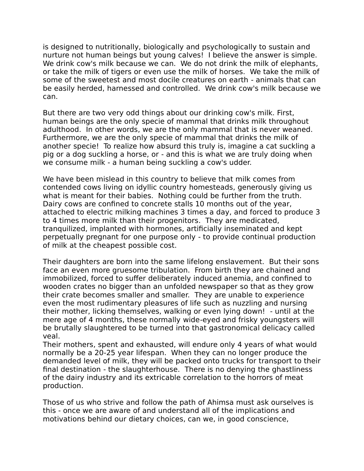is designed to nutritionally, biologically and psychologically to sustain and nurture not human beings but young calves! I believe the answer is simple. We drink cow's milk because we can. We do not drink the milk of elephants, or take the milk of tigers or even use the milk of horses. We take the milk of some of the sweetest and most docile creatures on earth - animals that can be easily herded, harnessed and controlled. We drink cow's milk because we can.

But there are two very odd things about our drinking cow's milk. First, human beings are the only specie of mammal that drinks milk throughout adulthood. In other words, we are the only mammal that is never weaned. Furthermore, we are the only specie of mammal that drinks the milk of another specie! To realize how absurd this truly is, imagine a cat suckling a pig or a dog suckling a horse, or - and this is what we are truly doing when we consume milk - a human being suckling a cow's udder.

We have been mislead in this country to believe that milk comes from contended cows living on idyllic country homesteads, generously giving us what is meant for their babies. Nothing could be further from the truth. Dairy cows are confined to concrete stalls 10 months out of the year, attached to electric milking machines 3 times a day, and forced to produce 3 to 4 times more milk than their progenitors. They are medicated, tranquilized, implanted with hormones, artificially inseminated and kept perpetually pregnant for one purpose only - to provide continual production of milk at the cheapest possible cost.

Their daughters are born into the same lifelong enslavement. But their sons face an even more gruesome tribulation. From birth they are chained and immobilized, forced to suffer deliberately induced anemia, and confined to wooden crates no bigger than an unfolded newspaper so that as they grow their crate becomes smaller and smaller. They are unable to experience even the most rudimentary pleasures of life such as nuzzling and nursing their mother, licking themselves, walking or even lying down! - until at the mere age of 4 months, these normally wide-eyed and frisky youngsters will be brutally slaughtered to be turned into that gastronomical delicacy called veal.

Their mothers, spent and exhausted, will endure only 4 years of what would normally be a 20-25 year lifespan. When they can no longer produce the demanded level of milk, they will be packed onto trucks for transport to their final destination - the slaughterhouse. There is no denying the ghastliness of the dairy industry and its extricable correlation to the horrors of meat production.

Those of us who strive and follow the path of Ahimsa must ask ourselves is this - once we are aware of and understand all of the implications and motivations behind our dietary choices, can we, in good conscience,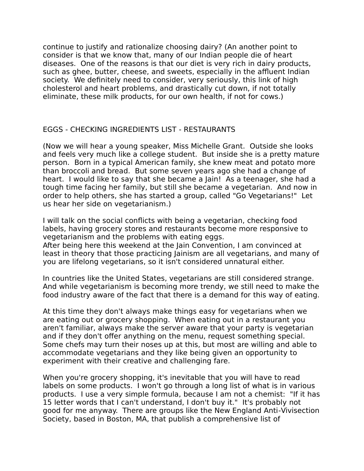continue to justify and rationalize choosing dairy? (An another point to consider is that we know that, many of our Indian people die of heart diseases. One of the reasons is that our diet is very rich in dairy products, such as ghee, butter, cheese, and sweets, especially in the affluent Indian society. We definitely need to consider, very seriously, this link of high cholesterol and heart problems, and drastically cut down, if not totally eliminate, these milk products, for our own health, if not for cows.)

### EGGS - CHECKING INGREDIENTS LIST - RESTAURANTS

(Now we will hear a young speaker, Miss Michelle Grant. Outside she looks and feels very much like a college student. But inside she is a pretty mature person. Born in a typical American family, she knew meat and potato more than broccoli and bread. But some seven years ago she had a change of heart. I would like to say that she became a Jain! As a teenager, she had a tough time facing her family, but still she became a vegetarian. And now in order to help others, she has started a group, called "Go Vegetarians!" Let us hear her side on vegetarianism.)

I will talk on the social conflicts with being a vegetarian, checking food labels, having grocery stores and restaurants become more responsive to vegetarianism and the problems with eating eggs.

After being here this weekend at the Jain Convention, I am convinced at least in theory that those practicing Jainism are all vegetarians, and many of you are lifelong vegetarians, so it isn't considered unnatural either.

In countries like the United States, vegetarians are still considered strange. And while vegetarianism is becoming more trendy, we still need to make the food industry aware of the fact that there is a demand for this way of eating.

At this time they don't always make things easy for vegetarians when we are eating out or grocery shopping. When eating out in a restaurant you aren't familiar, always make the server aware that your party is vegetarian and if they don't offer anything on the menu, request something special. Some chefs may turn their noses up at this, but most are willing and able to accommodate vegetarians and they like being given an opportunity to experiment with their creative and challenging fare.

When you're grocery shopping, it's inevitable that you will have to read labels on some products. I won't go through a long list of what is in various products. I use a very simple formula, because I am not a chemist: "If it has 15 letter words that I can't understand, I don't buy it." It's probably not good for me anyway. There are groups like the New England Anti-Vivisection Society, based in Boston, MA, that publish a comprehensive list of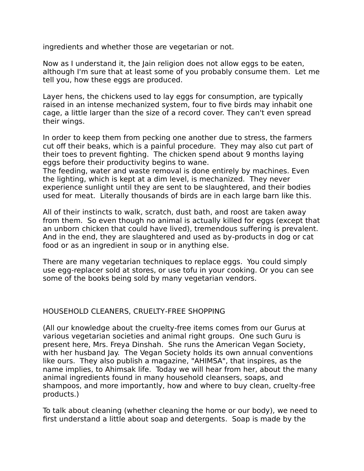ingredients and whether those are vegetarian or not.

Now as I understand it, the Jain religion does not allow eggs to be eaten, although I'm sure that at least some of you probably consume them. Let me tell you, how these eggs are produced.

Layer hens, the chickens used to lay eggs for consumption, are typically raised in an intense mechanized system, four to five birds may inhabit one cage, a little larger than the size of a record cover. They can't even spread their wings.

In order to keep them from pecking one another due to stress, the farmers cut off their beaks, which is a painful procedure. They may also cut part of their toes to prevent fighting. The chicken spend about 9 months laying eggs before their productivity begins to wane.

The feeding, water and waste removal is done entirely by machines. Even the lighting, which is kept at a dim level, is mechanized. They never experience sunlight until they are sent to be slaughtered, and their bodies used for meat. Literally thousands of birds are in each large barn like this.

All of their instincts to walk, scratch, dust bath, and roost are taken away from them. So even though no animal is actually killed for eggs (except that an unborn chicken that could have lived), tremendous suffering is prevalent. And in the end, they are slaughtered and used as by-products in dog or cat food or as an ingredient in soup or in anything else.

There are many vegetarian techniques to replace eggs. You could simply use egg-replacer sold at stores, or use tofu in your cooking. Or you can see some of the books being sold by many vegetarian vendors.

### HOUSEHOLD CLEANERS, CRUELTY-FREE SHOPPING

(All our knowledge about the cruelty-free items comes from our Gurus at various vegetarian societies and animal right groups. One such Guru is present here, Mrs. Freya Dinshah. She runs the American Vegan Society, with her husband Jay. The Vegan Society holds its own annual conventions like ours. They also publish a magazine, "AHIMSA", that inspires, as the name implies, to Ahimsak life. Today we will hear from her, about the many animal ingredients found in many household cleansers, soaps, and shampoos, and more importantly, how and where to buy clean, cruelty-free products.)

To talk about cleaning (whether cleaning the home or our body), we need to first understand a little about soap and detergents. Soap is made by the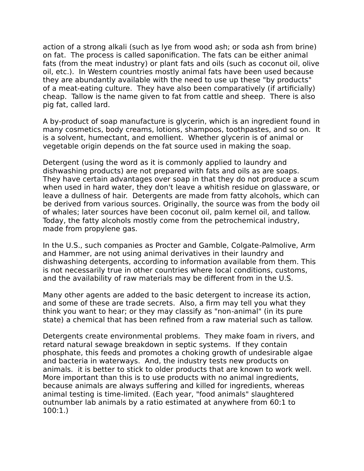action of a strong alkali (such as lye from wood ash; or soda ash from brine) on fat. The process is called saponification. The fats can be either animal fats (from the meat industry) or plant fats and oils (such as coconut oil, olive oil, etc.). In Western countries mostly animal fats have been used because they are abundantly available with the need to use up these "by products" of a meat-eating culture. They have also been comparatively (if artificially) cheap. Tallow is the name given to fat from cattle and sheep. There is also pig fat, called lard.

A by-product of soap manufacture is glycerin, which is an ingredient found in many cosmetics, body creams, lotions, shampoos, toothpastes, and so on. It is a solvent, humectant, and emollient. Whether glycerin is of animal or vegetable origin depends on the fat source used in making the soap.

Detergent (using the word as it is commonly applied to laundry and dishwashing products) are not prepared with fats and oils as are soaps. They have certain advantages over soap in that they do not produce a scum when used in hard water, they don't leave a whitish residue on glassware, or leave a dullness of hair. Detergents are made from fatty alcohols, which can be derived from various sources. Originally, the source was from the body oil of whales; later sources have been coconut oil, palm kernel oil, and tallow. Today, the fatty alcohols mostly come from the petrochemical industry, made from propylene gas.

In the U.S., such companies as Procter and Gamble, Colgate-Palmolive, Arm and Hammer, are not using animal derivatives in their laundry and dishwashing detergents, according to information available from them. This is not necessarily true in other countries where local conditions, customs, and the availability of raw materials may be different from in the U.S.

Many other agents are added to the basic detergent to increase its action, and some of these are trade secrets. Also, a firm may tell you what they think you want to hear; or they may classify as "non-animal" (in its pure state) a chemical that has been refined from a raw material such as tallow.

Detergents create environmental problems. They make foam in rivers, and retard natural sewage breakdown in septic systems. If they contain phosphate, this feeds and promotes a choking growth of undesirable algae and bacteria in waterways. And, the industry tests new products on animals. it is better to stick to older products that are known to work well. More important than this is to use products with no animal ingredients, because animals are always suffering and killed for ingredients, whereas animal testing is time-limited. (Each year, "food animals" slaughtered outnumber lab animals by a ratio estimated at anywhere from 60:1 to 100:1.)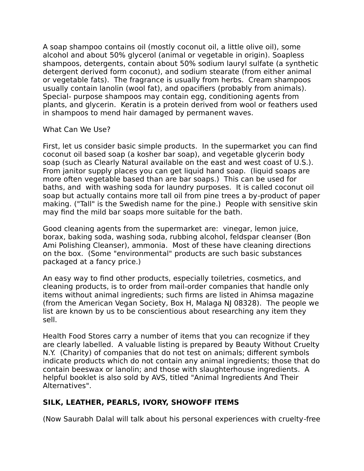A soap shampoo contains oil (mostly coconut oil, a little olive oil), some alcohol and about 50% glycerol (animal or vegetable in origin). Soapless shampoos, detergents, contain about 50% sodium lauryl sulfate (a synthetic detergent derived form coconut), and sodium stearate (from either animal or vegetable fats). The fragrance is usually from herbs. Cream shampoos usually contain lanolin (wool fat), and opacifiers (probably from animals). Special- purpose shampoos may contain egg, conditioning agents from plants, and glycerin. Keratin is a protein derived from wool or feathers used in shampoos to mend hair damaged by permanent waves.

What Can We Use?

First, let us consider basic simple products. In the supermarket you can find coconut oil based soap (a kosher bar soap), and vegetable glycerin body soap (such as Clearly Natural available on the east and west coast of U.S.). From janitor supply places you can get liquid hand soap. (liquid soaps are more often vegetable based than are bar soaps.) This can be used for baths, and with washing soda for laundry purposes. It is called coconut oil soap but actually contains more tall oil from pine trees a by-product of paper making. ("Tall" is the Swedish name for the pine.) People with sensitive skin may find the mild bar soaps more suitable for the bath.

Good cleaning agents from the supermarket are: vinegar, lemon juice, borax, baking soda, washing soda, rubbing alcohol, feldspar cleanser (Bon Ami Polishing Cleanser), ammonia. Most of these have cleaning directions on the box. (Some "environmental" products are such basic substances packaged at a fancy price.)

An easy way to find other products, especially toiletries, cosmetics, and cleaning products, is to order from mail-order companies that handle only items without animal ingredients; such firms are listed in Ahimsa magazine (from the American Vegan Society, Box H, Malaga NJ 08328). The people we list are known by us to be conscientious about researching any item they sell.

Health Food Stores carry a number of items that you can recognize if they are clearly labelled. A valuable listing is prepared by Beauty Without Cruelty N.Y. (Charity) of companies that do not test on animals; different symbols indicate products which do not contain any animal ingredients; those that do contain beeswax or lanolin; and those with slaughterhouse ingredients. A helpful booklet is also sold by AVS, titled "Animal Ingredients And Their Alternatives".

# **SILK, LEATHER, PEARLS, IVORY, SHOWOFF ITEMS**

(Now Saurabh Dalal will talk about his personal experiences with cruelty-free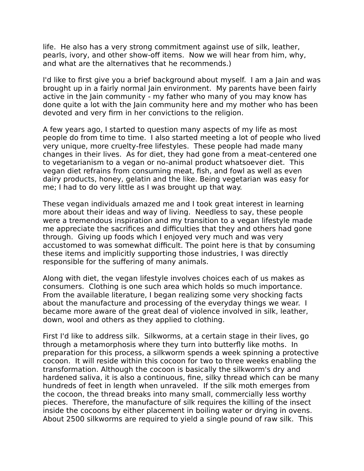life. He also has a very strong commitment against use of silk, leather, pearls, ivory, and other show-off items. Now we will hear from him, why, and what are the alternatives that he recommends.)

I'd like to first give you a brief background about myself. I am a Jain and was brought up in a fairly normal Jain environment. My parents have been fairly active in the Jain community - my father who many of you may know has done quite a lot with the Jain community here and my mother who has been devoted and very firm in her convictions to the religion.

A few years ago, I started to question many aspects of my life as most people do from time to time. I also started meeting a lot of people who lived very unique, more cruelty-free lifestyles. These people had made many changes in their lives. As for diet, they had gone from a meat-centered one to vegetarianism to a vegan or no-animal product whatsoever diet. This vegan diet refrains from consuming meat, fish, and fowl as well as even dairy products, honey, gelatin and the like. Being vegetarian was easy for me; I had to do very little as I was brought up that way.

These vegan individuals amazed me and I took great interest in learning more about their ideas and way of living. Needless to say, these people were a tremendous inspiration and my transition to a vegan lifestyle made me appreciate the sacrifices and difficulties that they and others had gone through. Giving up foods which I enjoyed very much and was very accustomed to was somewhat difficult. The point here is that by consuming these items and implicitly supporting those industries, I was directly responsible for the suffering of many animals.

Along with diet, the vegan lifestyle involves choices each of us makes as consumers. Clothing is one such area which holds so much importance. From the available literature, I began realizing some very shocking facts about the manufacture and processing of the everyday things we wear. I became more aware of the great deal of violence involved in silk, leather, down, wool and others as they applied to clothing.

First I'd like to address silk. Silkworms, at a certain stage in their lives, go through a metamorphosis where they turn into butterfly like moths. In preparation for this process, a silkworm spends a week spinning a protective cocoon. It will reside within this cocoon for two to three weeks enabling the transformation. Although the cocoon is basically the silkworm's dry and hardened saliva, it is also a continuous, fine, silky thread which can be many hundreds of feet in length when unraveled. If the silk moth emerges from the cocoon, the thread breaks into many small, commercially less worthy pieces. Therefore, the manufacture of silk requires the killing of the insect inside the cocoons by either placement in boiling water or drying in ovens. About 2500 silkworms are required to yield a single pound of raw silk. This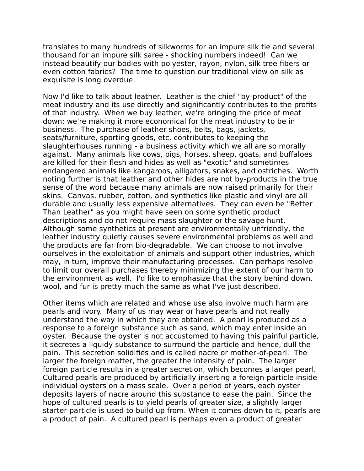translates to many hundreds of silkworms for an impure silk tie and several thousand for an impure silk saree - shocking numbers indeed! Can we instead beautify our bodies with polyester, rayon, nylon, silk tree fibers or even cotton fabrics? The time to question our traditional view on silk as exquisite is long overdue.

Now I'd like to talk about leather. Leather is the chief "by-product" of the meat industry and its use directly and significantly contributes to the profits of that industry. When we buy leather, we're bringing the price of meat down; we're making it more economical for the meat industry to be in business. The purchase of leather shoes, belts, bags, jackets, seats/furniture, sporting goods, etc. contributes to keeping the slaughterhouses running - a business activity which we all are so morally against. Many animals like cows, pigs, horses, sheep, goats, and buffaloes are killed for their flesh and hides as well as "exotic" and sometimes endangered animals like kangaroos, alligators, snakes, and ostriches. Worth noting further is that leather and other hides are not by-products in the true sense of the word because many animals are now raised primarily for their skins. Canvas, rubber, cotton, and synthetics like plastic and vinyl are all durable and usually less expensive alternatives. They can even be "Better Than Leather" as you might have seen on some synthetic product descriptions and do not require mass slaughter or the savage hunt. Although some synthetics at present are environmentally unfriendly, the leather industry quietly causes severe environmental problems as well and the products are far from bio-degradable. We can choose to not involve ourselves in the exploitation of animals and support other industries, which may, in turn, improve their manufacturing processes. Can perhaps resolve to limit our overall purchases thereby minimizing the extent of our harm to the environment as well. I'd like to emphasize that the story behind down, wool, and fur is pretty much the same as what I've just described.

Other items which are related and whose use also involve much harm are pearls and ivory. Many of us may wear or have pearls and not really understand the way in which they are obtained. A pearl is produced as a response to a foreign substance such as sand, which may enter inside an oyster. Because the oyster is not accustomed to having this painful particle, it secretes a liquidy substance to surround the particle and hence, dull the pain. This secretion solidifies and is called nacre or mother-of-pearl. The larger the foreign matter, the greater the intensity of pain. The larger foreign particle results in a greater secretion, which becomes a larger pearl. Cultured pearls are produced by artificially inserting a foreign particle inside individual oysters on a mass scale. Over a period of years, each oyster deposits layers of nacre around this substance to ease the pain. Since the hope of cultured pearls is to yield pearls of greater size, a slightly larger starter particle is used to build up from. When it comes down to it, pearls are a product of pain. A cultured pearl is perhaps even a product of greater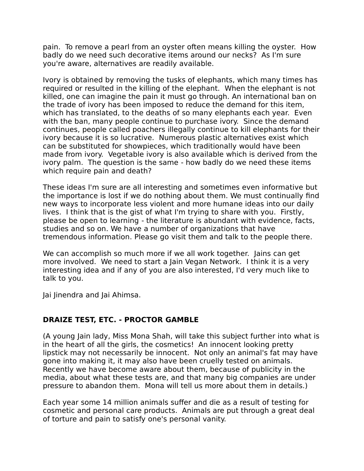pain. To remove a pearl from an oyster often means killing the oyster. How badly do we need such decorative items around our necks? As I'm sure you're aware, alternatives are readily available.

Ivory is obtained by removing the tusks of elephants, which many times has required or resulted in the killing of the elephant. When the elephant is not killed, one can imagine the pain it must go through. An international ban on the trade of ivory has been imposed to reduce the demand for this item, which has translated, to the deaths of so many elephants each year. Even with the ban, many people continue to purchase ivory. Since the demand continues, people called poachers illegally continue to kill elephants for their ivory because it is so lucrative. Numerous plastic alternatives exist which can be substituted for showpieces, which traditionally would have been made from ivory. Vegetable ivory is also available which is derived from the ivory palm. The question is the same - how badly do we need these items which require pain and death?

These ideas I'm sure are all interesting and sometimes even informative but the importance is lost if we do nothing about them. We must continually find new ways to incorporate less violent and more humane ideas into our daily lives. I think that is the gist of what I'm trying to share with you. Firstly, please be open to learning - the literature is abundant with evidence, facts, studies and so on. We have a number of organizations that have tremendous information. Please go visit them and talk to the people there.

We can accomplish so much more if we all work together. Jains can get more involved. We need to start a Jain Vegan Network. I think it is a very interesting idea and if any of you are also interested, I'd very much like to talk to you.

Jai Jinendra and Jai Ahimsa.

### **DRAIZE TEST, ETC. - PROCTOR GAMBLE**

(A young Jain lady, Miss Mona Shah, will take this subject further into what is in the heart of all the girls, the cosmetics! An innocent looking pretty lipstick may not necessarily be innocent. Not only an animal's fat may have gone into making it, it may also have been cruelly tested on animals. Recently we have become aware about them, because of publicity in the media, about what these tests are, and that many big companies are under pressure to abandon them. Mona will tell us more about them in details.)

Each year some 14 million animals suffer and die as a result of testing for cosmetic and personal care products. Animals are put through a great deal of torture and pain to satisfy one's personal vanity.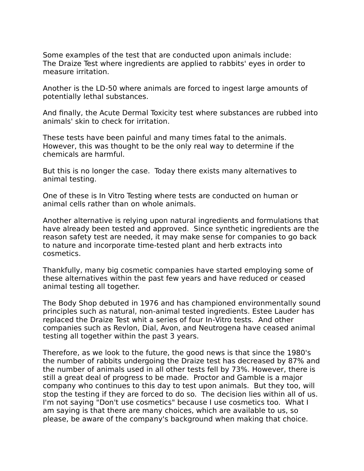Some examples of the test that are conducted upon animals include: The Draize Test where ingredients are applied to rabbits' eyes in order to measure irritation.

Another is the LD-50 where animals are forced to ingest large amounts of potentially lethal substances.

And finally, the Acute Dermal Toxicity test where substances are rubbed into animals' skin to check for irritation.

These tests have been painful and many times fatal to the animals. However, this was thought to be the only real way to determine if the chemicals are harmful.

But this is no longer the case. Today there exists many alternatives to animal testing.

One of these is In Vitro Testing where tests are conducted on human or animal cells rather than on whole animals.

Another alternative is relying upon natural ingredients and formulations that have already been tested and approved. Since synthetic ingredients are the reason safety test are needed, it may make sense for companies to go back to nature and incorporate time-tested plant and herb extracts into cosmetics.

Thankfully, many big cosmetic companies have started employing some of these alternatives within the past few years and have reduced or ceased animal testing all together.

The Body Shop debuted in 1976 and has championed environmentally sound principles such as natural, non-animal tested ingredients. Estee Lauder has replaced the Draize Test whit a series of four In-Vitro tests. And other companies such as Revlon, Dial, Avon, and Neutrogena have ceased animal testing all together within the past 3 years.

Therefore, as we look to the future, the good news is that since the 1980's the number of rabbits undergoing the Draize test has decreased by 87% and the number of animals used in all other tests fell by 73%. However, there is still a great deal of progress to be made. Proctor and Gamble is a major company who continues to this day to test upon animals. But they too, will stop the testing if they are forced to do so. The decision lies within all of us. I'm not saying "Don't use cosmetics" because I use cosmetics too. What I am saying is that there are many choices, which are available to us, so please, be aware of the company's background when making that choice.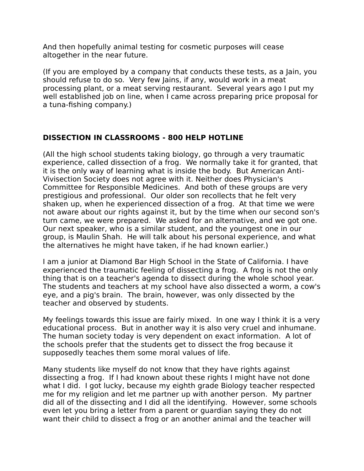And then hopefully animal testing for cosmetic purposes will cease altogether in the near future.

(If you are employed by a company that conducts these tests, as a Jain, you should refuse to do so. Very few Jains, if any, would work in a meat processing plant, or a meat serving restaurant. Several years ago I put my well established job on line, when I came across preparing price proposal for a tuna-fishing company.)

## **DISSECTION IN CLASSROOMS - 800 HELP HOTLINE**

(All the high school students taking biology, go through a very traumatic experience, called dissection of a frog. We normally take it for granted, that it is the only way of learning what is inside the body. But American Anti-Vivisection Society does not agree with it. Neither does Physician's Committee for Responsible Medicines. And both of these groups are very prestigious and professional. Our older son recollects that he felt very shaken up, when he experienced dissection of a frog. At that time we were not aware about our rights against it, but by the time when our second son's turn came, we were prepared. We asked for an alternative, and we got one. Our next speaker, who is a similar student, and the youngest one in our group, is Maulin Shah. He will talk about his personal experience, and what the alternatives he might have taken, if he had known earlier.)

I am a junior at Diamond Bar High School in the State of California. I have experienced the traumatic feeling of dissecting a frog. A frog is not the only thing that is on a teacher's agenda to dissect during the whole school year. The students and teachers at my school have also dissected a worm, a cow's eye, and a pig's brain. The brain, however, was only dissected by the teacher and observed by students.

My feelings towards this issue are fairly mixed. In one way I think it is a very educational process. But in another way it is also very cruel and inhumane. The human society today is very dependent on exact information. A lot of the schools prefer that the students get to dissect the frog because it supposedly teaches them some moral values of life.

Many students like myself do not know that they have rights against dissecting a frog. If I had known about these rights I might have not done what I did. I got lucky, because my eighth grade Biology teacher respected me for my religion and let me partner up with another person. My partner did all of the dissecting and I did all the identifying. However, some schools even let you bring a letter from a parent or guardian saying they do not want their child to dissect a frog or an another animal and the teacher will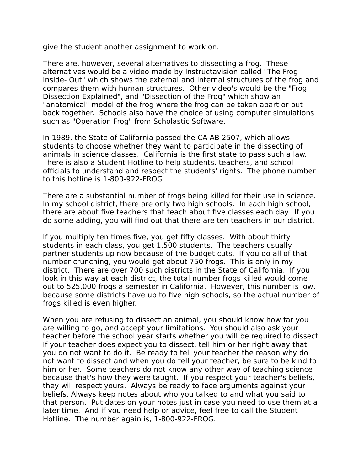give the student another assignment to work on.

There are, however, several alternatives to dissecting a frog. These alternatives would be a video made by Instructavision called "The Frog Inside- Out" which shows the external and internal structures of the frog and compares them with human structures. Other video's would be the "Frog Dissection Explained", and "Dissection of the Frog" which show an "anatomical" model of the frog where the frog can be taken apart or put back together. Schools also have the choice of using computer simulations such as "Operation Frog" from Scholastic Software.

In 1989, the State of California passed the CA AB 2507, which allows students to choose whether they want to participate in the dissecting of animals in science classes. California is the first state to pass such a law. There is also a Student Hotline to help students, teachers, and school officials to understand and respect the students' rights. The phone number to this hotline is 1-800-922-FROG.

There are a substantial number of frogs being killed for their use in science. In my school district, there are only two high schools. In each high school, there are about five teachers that teach about five classes each day. If you do some adding, you will find out that there are ten teachers in our district.

If you multiply ten times five, you get fifty classes. With about thirty students in each class, you get 1,500 students. The teachers usually partner students up now because of the budget cuts. If you do all of that number crunching, you would get about 750 frogs. This is only in my district. There are over 700 such districts in the State of California. If you look in this way at each district, the total number frogs killed would come out to 525,000 frogs a semester in California. However, this number is low, because some districts have up to five high schools, so the actual number of frogs killed is even higher.

When you are refusing to dissect an animal, you should know how far you are willing to go, and accept your limitations. You should also ask your teacher before the school year starts whether you will be required to dissect. If your teacher does expect you to dissect, tell him or her right away that you do not want to do it. Be ready to tell your teacher the reason why do not want to dissect and when you do tell your teacher, be sure to be kind to him or her. Some teachers do not know any other way of teaching science because that's how they were taught. If you respect your teacher's beliefs, they will respect yours. Always be ready to face arguments against your beliefs. Always keep notes about who you talked to and what you said to that person. Put dates on your notes just in case you need to use them at a later time. And if you need help or advice, feel free to call the Student Hotline. The number again is, 1-800-922-FROG.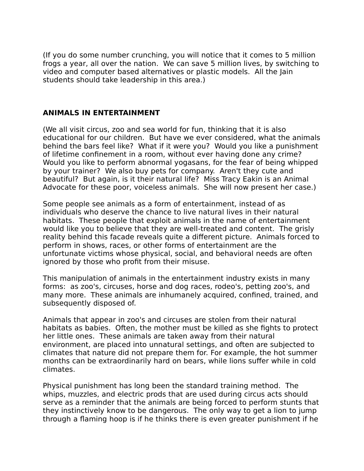(If you do some number crunching, you will notice that it comes to 5 million frogs a year, all over the nation. We can save 5 million lives, by switching to video and computer based alternatives or plastic models. All the Jain students should take leadership in this area.)

## **ANIMALS IN ENTERTAINMENT**

(We all visit circus, zoo and sea world for fun, thinking that it is also educational for our children. But have we ever considered, what the animals behind the bars feel like? What if it were you? Would you like a punishment of lifetime confinement in a room, without ever having done any crime? Would you like to perform abnormal yogasans, for the fear of being whipped by your trainer? We also buy pets for company. Aren't they cute and beautiful? But again, is it their natural life? Miss Tracy Eakin is an Animal Advocate for these poor, voiceless animals. She will now present her case.)

Some people see animals as a form of entertainment, instead of as individuals who deserve the chance to live natural lives in their natural habitats. These people that exploit animals in the name of entertainment would like you to believe that they are well-treated and content. The grisly reality behind this facade reveals quite a different picture. Animals forced to perform in shows, races, or other forms of entertainment are the unfortunate victims whose physical, social, and behavioral needs are often ignored by those who profit from their misuse.

This manipulation of animals in the entertainment industry exists in many forms: as zoo's, circuses, horse and dog races, rodeo's, petting zoo's, and many more. These animals are inhumanely acquired, confined, trained, and subsequently disposed of.

Animals that appear in zoo's and circuses are stolen from their natural habitats as babies. Often, the mother must be killed as she fights to protect her little ones. These animals are taken away from their natural environment, are placed into unnatural settings, and often are subjected to climates that nature did not prepare them for. For example, the hot summer months can be extraordinarily hard on bears, while lions suffer while in cold climates.

Physical punishment has long been the standard training method. The whips, muzzles, and electric prods that are used during circus acts should serve as a reminder that the animals are being forced to perform stunts that they instinctively know to be dangerous. The only way to get a lion to jump through a flaming hoop is if he thinks there is even greater punishment if he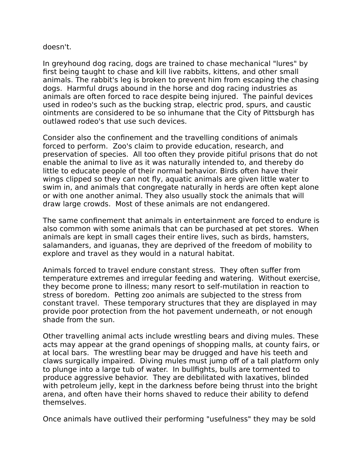#### doesn't.

In greyhound dog racing, dogs are trained to chase mechanical "lures" by first being taught to chase and kill live rabbits, kittens, and other small animals. The rabbit's leg is broken to prevent him from escaping the chasing dogs. Harmful drugs abound in the horse and dog racing industries as animals are often forced to race despite being injured. The painful devices used in rodeo's such as the bucking strap, electric prod, spurs, and caustic ointments are considered to be so inhumane that the City of Pittsburgh has outlawed rodeo's that use such devices.

Consider also the confinement and the travelling conditions of animals forced to perform. Zoo's claim to provide education, research, and preservation of species. All too often they provide pitiful prisons that do not enable the animal to live as it was naturally intended to, and thereby do little to educate people of their normal behavior. Birds often have their wings clipped so they can not fly, aquatic animals are given little water to swim in, and animals that congregate naturally in herds are often kept alone or with one another animal. They also usually stock the animals that will draw large crowds. Most of these animals are not endangered.

The same confinement that animals in entertainment are forced to endure is also common with some animals that can be purchased at pet stores. When animals are kept in small cages their entire lives, such as birds, hamsters, salamanders, and iguanas, they are deprived of the freedom of mobility to explore and travel as they would in a natural habitat.

Animals forced to travel endure constant stress. They often suffer from temperature extremes and irregular feeding and watering. Without exercise, they become prone to illness; many resort to self-mutilation in reaction to stress of boredom. Petting zoo animals are subjected to the stress from constant travel. These temporary structures that they are displayed in may provide poor protection from the hot pavement underneath, or not enough shade from the sun.

Other travelling animal acts include wrestling bears and diving mules. These acts may appear at the grand openings of shopping malls, at county fairs, or at local bars. The wrestling bear may be drugged and have his teeth and claws surgically impaired. Diving mules must jump off of a tall platform only to plunge into a large tub of water. In bullfights, bulls are tormented to produce aggressive behavior. They are debilitated with laxatives, blinded with petroleum jelly, kept in the darkness before being thrust into the bright arena, and often have their horns shaved to reduce their ability to defend themselves.

Once animals have outlived their performing "usefulness" they may be sold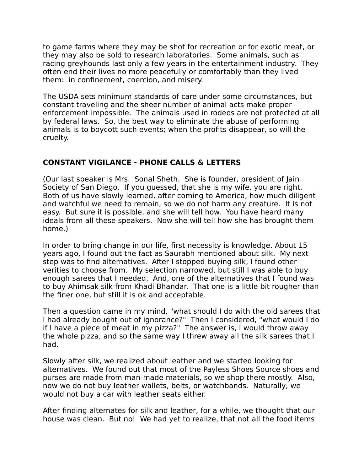to game farms where they may be shot for recreation or for exotic meat, or they may also be sold to research laboratories. Some animals, such as racing greyhounds last only a few years in the entertainment industry. They often end their lives no more peacefully or comfortably than they lived them: in confinement, coercion, and misery.

The USDA sets minimum standards of care under some circumstances, but constant traveling and the sheer number of animal acts make proper enforcement impossible. The animals used in rodeos are not protected at all by federal laws. So, the best way to eliminate the abuse of performing animals is to boycott such events; when the profits disappear, so will the cruelty.

## **CONSTANT VIGILANCE - PHONE CALLS & LETTERS**

(Our last speaker is Mrs. Sonal Sheth. She is founder, president of Jain Society of San Diego. If you guessed, that she is my wife, you are right. Both of us have slowly learned, after coming to America, how much diligent and watchful we need to remain, so we do not harm any creature. It is not easy. But sure it is possible, and she will tell how. You have heard many ideals from all these speakers. Now she will tell how she has brought them home.)

In order to bring change in our life, first necessity is knowledge. About 15 years ago, I found out the fact as Saurabh mentioned about silk. My next step was to find alternatives. After I stopped buying silk, I found other verities to choose from. My selection narrowed, but still I was able to buy enough sarees that I needed. And, one of the alternatives that I found was to buy Ahimsak silk from Khadi Bhandar. That one is a little bit rougher than the finer one, but still it is ok and acceptable.

Then a question came in my mind, "what should I do with the old sarees that I had already bought out of ignorance?" Then I considered, "what would I do if I have a piece of meat in my pizza?" The answer is, I would throw away the whole pizza, and so the same way I threw away all the silk sarees that I had.

Slowly after silk, we realized about leather and we started looking for alternatives. We found out that most of the Payless Shoes Source shoes and purses are made from man-made materials, so we shop there mostly. Also, now we do not buy leather wallets, belts, or watchbands. Naturally, we would not buy a car with leather seats either.

After finding alternates for silk and leather, for a while, we thought that our house was clean. But no! We had yet to realize, that not all the food items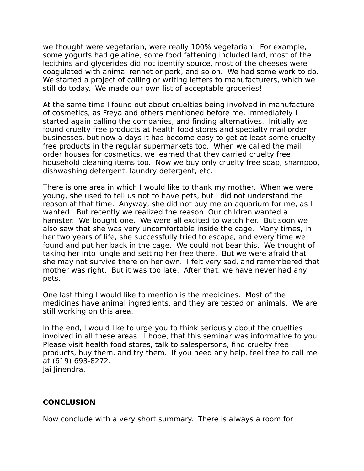we thought were vegetarian, were really 100% vegetarian! For example, some yogurts had gelatine, some food fattening included lard, most of the lecithins and glycerides did not identify source, most of the cheeses were coagulated with animal rennet or pork, and so on. We had some work to do. We started a project of calling or writing letters to manufacturers, which we still do today. We made our own list of acceptable groceries!

At the same time I found out about cruelties being involved in manufacture of cosmetics, as Freya and others mentioned before me. Immediately I started again calling the companies, and finding alternatives. Initially we found cruelty free products at health food stores and specialty mail order businesses, but now a days it has become easy to get at least some cruelty free products in the regular supermarkets too. When we called the mail order houses for cosmetics, we learned that they carried cruelty free household cleaning items too. Now we buy only cruelty free soap, shampoo, dishwashing detergent, laundry detergent, etc.

There is one area in which I would like to thank my mother. When we were young, she used to tell us not to have pets, but I did not understand the reason at that time. Anyway, she did not buy me an aquarium for me, as I wanted. But recently we realized the reason. Our children wanted a hamster. We bought one. We were all excited to watch her. But soon we also saw that she was very uncomfortable inside the cage. Many times, in her two years of life, she successfully tried to escape, and every time we found and put her back in the cage. We could not bear this. We thought of taking her into jungle and setting her free there. But we were afraid that she may not survive there on her own. I felt very sad, and remembered that mother was right. But it was too late. After that, we have never had any pets.

One last thing I would like to mention is the medicines. Most of the medicines have animal ingredients, and they are tested on animals. We are still working on this area.

In the end, I would like to urge you to think seriously about the cruelties involved in all these areas. I hope, that this seminar was informative to you. Please visit health food stores, talk to salespersons, find cruelty free products, buy them, and try them. If you need any help, feel free to call me at (619) 693-8272. Jai Jinendra.

#### **CONCLUSION**

Now conclude with a very short summary. There is always a room for